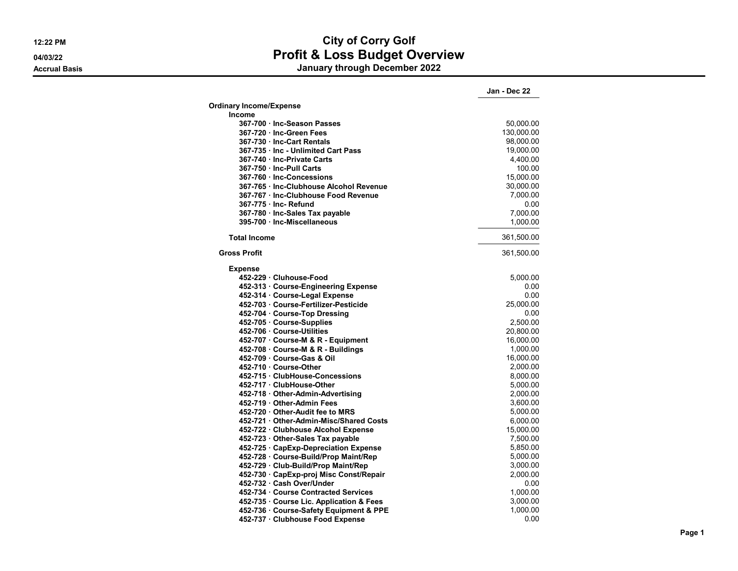## **12:22 PM City of Corry Golf 04/03/22 Profit & Loss Budget Overview**

**Accrual Basis January through December 2022**

|                                         | Jan - Dec 22 |
|-----------------------------------------|--------------|
| <b>Ordinary Income/Expense</b>          |              |
| <b>Income</b>                           |              |
| 367-700 · Inc-Season Passes             | 50,000.00    |
| 367-720 Inc-Green Fees                  | 130,000.00   |
| 367-730 Inc-Cart Rentals                | 98,000.00    |
| 367-735 · Inc - Unlimited Cart Pass     | 19,000.00    |
| 367-740 · Inc-Private Carts             | 4,400.00     |
| 367-750 · Inc-Pull Carts                | 100.00       |
| 367-760 Inc-Concessions                 | 15,000.00    |
| 367-765 · Inc-Clubhouse Alcohol Revenue | 30,000.00    |
| 367-767 · Inc-Clubhouse Food Revenue    | 7,000.00     |
| 367-775 · Inc- Refund                   | 0.00         |
| 367-780 · Inc-Sales Tax payable         | 7,000.00     |
| 395-700 · Inc-Miscellaneous             | 1,000.00     |
| <b>Total Income</b>                     | 361,500.00   |
| <b>Gross Profit</b>                     | 361,500.00   |
| <b>Expense</b>                          |              |
| 452-229 Cluhouse-Food                   | 5,000.00     |
| 452-313 Course-Engineering Expense      | 0.00         |
| 452-314 Course-Legal Expense            | 0.00         |
| 452-703 · Course-Fertilizer-Pesticide   | 25,000.00    |
| 452-704 Course-Top Dressing             | 0.00         |
| 452-705 Course-Supplies                 | 2,500.00     |
| 452-706 Course-Utilities                | 20,800.00    |
| 452-707 Course-M & R - Equipment        | 16,000.00    |
| 452-708 · Course-M & R - Buildings      | 1,000.00     |
| 452-709 Course-Gas & Oil                | 16,000.00    |
| 452-710 Course-Other                    | 2,000.00     |
| 452-715 ClubHouse-Concessions           | 8,000.00     |
| 452-717 ClubHouse-Other                 | 5,000.00     |
| 452-718 Other-Admin-Advertising         | 2,000.00     |
| 452-719 Other-Admin Fees                | 3,600.00     |
| 452-720 Other-Audit fee to MRS          | 5,000.00     |
| 452-721 Other-Admin-Misc/Shared Costs   | 6,000.00     |
| 452-722 · Clubhouse Alcohol Expense     | 15,000.00    |
| 452-723 · Other-Sales Tax payable       | 7,500.00     |
| 452-725 · CapExp-Depreciation Expense   | 5,850.00     |
| 452-728 Course-Build/Prop Maint/Rep     | 5,000.00     |
| 452-729 · Club-Build/Prop Maint/Rep     | 3,000.00     |
| 452-730 · CapExp-proj Misc Const/Repair | 2,000.00     |
| 452-732 · Cash Over/Under               | 0.00         |
| 452-734 Course Contracted Services      | 1,000.00     |
| 452-735 Course Lic. Application & Fees  | 3,000.00     |
| 452-736 Course-Safety Equipment & PPE   | 1.000.00     |
| 452-737 · Clubhouse Food Expense        | 0.00         |
|                                         |              |